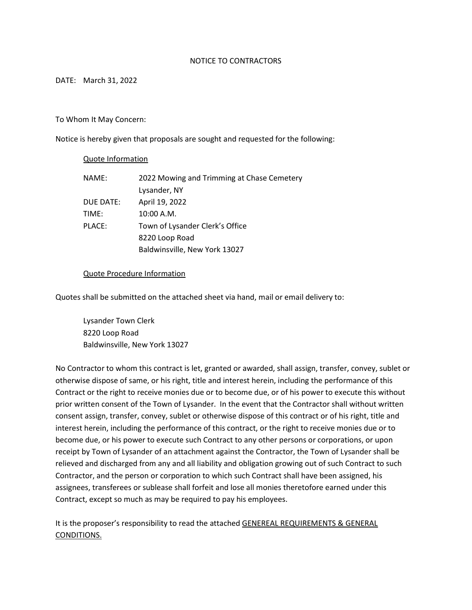#### NOTICE TO CONTRACTORS

#### DATE: March 31, 2022

#### To Whom It May Concern:

Notice is hereby given that proposals are sought and requested for the following:

#### Quote Information

| NAME:     | 2022 Mowing and Trimming at Chase Cemetery |
|-----------|--------------------------------------------|
|           | Lysander, NY                               |
| DUE DATE: | April 19, 2022                             |
| TIME:     | 10:00 A.M.                                 |
| PLACE:    | Town of Lysander Clerk's Office            |
|           | 8220 Loop Road                             |
|           | Baldwinsville, New York 13027              |

#### Quote Procedure Information

Quotes shall be submitted on the attached sheet via hand, mail or email delivery to:

 Lysander Town Clerk 8220 Loop Road Baldwinsville, New York 13027

No Contractor to whom this contract is let, granted or awarded, shall assign, transfer, convey, sublet or otherwise dispose of same, or his right, title and interest herein, including the performance of this Contract or the right to receive monies due or to become due, or of his power to execute this without prior written consent of the Town of Lysander. In the event that the Contractor shall without written consent assign, transfer, convey, sublet or otherwise dispose of this contract or of his right, title and interest herein, including the performance of this contract, or the right to receive monies due or to become due, or his power to execute such Contract to any other persons or corporations, or upon receipt by Town of Lysander of an attachment against the Contractor, the Town of Lysander shall be relieved and discharged from any and all liability and obligation growing out of such Contract to such Contractor, and the person or corporation to which such Contract shall have been assigned, his assignees, transferees or sublease shall forfeit and lose all monies theretofore earned under this Contract, except so much as may be required to pay his employees.

It is the proposer's responsibility to read the attached GENEREAL REQUIREMENTS & GENERAL CONDITIONS.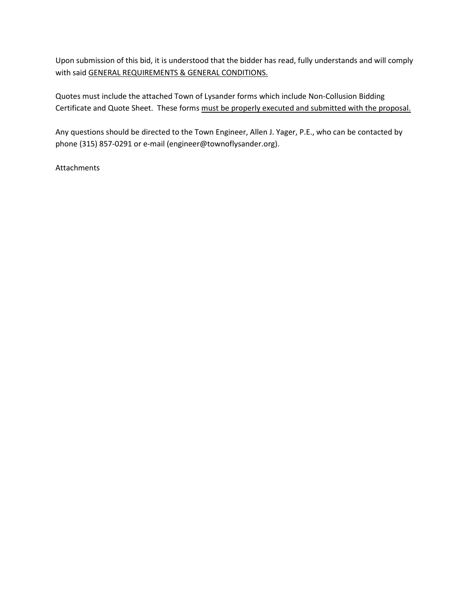Upon submission of this bid, it is understood that the bidder has read, fully understands and will comply with said GENERAL REQUIREMENTS & GENERAL CONDITIONS.

Quotes must include the attached Town of Lysander forms which include Non-Collusion Bidding Certificate and Quote Sheet. These forms must be properly executed and submitted with the proposal.

Any questions should be directed to the Town Engineer, Allen J. Yager, P.E., who can be contacted by phone (315) 857-0291 or e-mail (engineer@townoflysander.org).

Attachments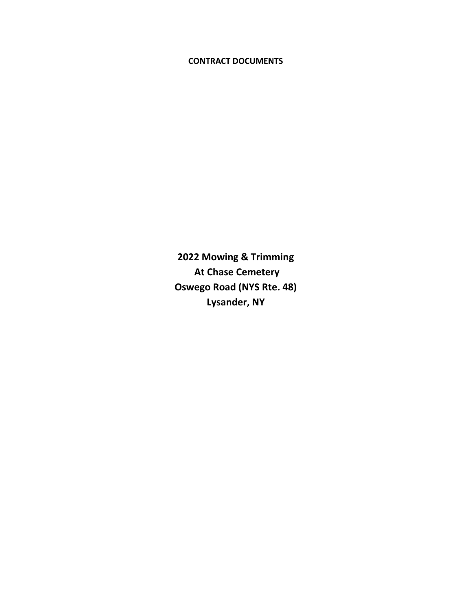# CONTRACT DOCUMENTS

2022 Mowing & Trimming At Chase Cemetery Oswego Road (NYS Rte. 48) Lysander, NY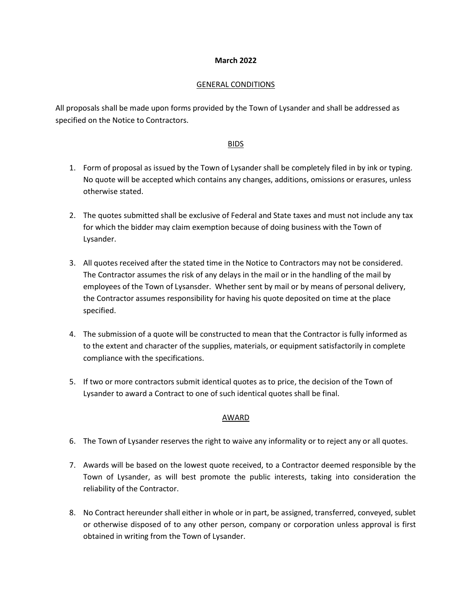#### March 2022

#### GENERAL CONDITIONS

All proposals shall be made upon forms provided by the Town of Lysander and shall be addressed as specified on the Notice to Contractors.

#### BIDS

- 1. Form of proposal as issued by the Town of Lysander shall be completely filed in by ink or typing. No quote will be accepted which contains any changes, additions, omissions or erasures, unless otherwise stated.
- 2. The quotes submitted shall be exclusive of Federal and State taxes and must not include any tax for which the bidder may claim exemption because of doing business with the Town of Lysander.
- 3. All quotes received after the stated time in the Notice to Contractors may not be considered. The Contractor assumes the risk of any delays in the mail or in the handling of the mail by employees of the Town of Lysansder. Whether sent by mail or by means of personal delivery, the Contractor assumes responsibility for having his quote deposited on time at the place specified.
- 4. The submission of a quote will be constructed to mean that the Contractor is fully informed as to the extent and character of the supplies, materials, or equipment satisfactorily in complete compliance with the specifications.
- 5. If two or more contractors submit identical quotes as to price, the decision of the Town of Lysander to award a Contract to one of such identical quotes shall be final.

## AWARD

- 6. The Town of Lysander reserves the right to waive any informality or to reject any or all quotes.
- 7. Awards will be based on the lowest quote received, to a Contractor deemed responsible by the Town of Lysander, as will best promote the public interests, taking into consideration the reliability of the Contractor.
- 8. No Contract hereunder shall either in whole or in part, be assigned, transferred, conveyed, sublet or otherwise disposed of to any other person, company or corporation unless approval is first obtained in writing from the Town of Lysander.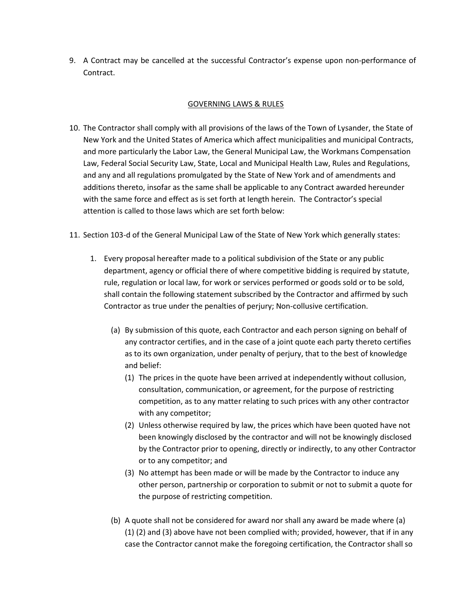9. A Contract may be cancelled at the successful Contractor's expense upon non-performance of Contract.

# GOVERNING LAWS & RULES

- 10. The Contractor shall comply with all provisions of the laws of the Town of Lysander, the State of New York and the United States of America which affect municipalities and municipal Contracts, and more particularly the Labor Law, the General Municipal Law, the Workmans Compensation Law, Federal Social Security Law, State, Local and Municipal Health Law, Rules and Regulations, and any and all regulations promulgated by the State of New York and of amendments and additions thereto, insofar as the same shall be applicable to any Contract awarded hereunder with the same force and effect as is set forth at length herein. The Contractor's special attention is called to those laws which are set forth below:
- 11. Section 103-d of the General Municipal Law of the State of New York which generally states:
	- 1. Every proposal hereafter made to a political subdivision of the State or any public department, agency or official there of where competitive bidding is required by statute, rule, regulation or local law, for work or services performed or goods sold or to be sold, shall contain the following statement subscribed by the Contractor and affirmed by such Contractor as true under the penalties of perjury; Non-collusive certification.
		- (a) By submission of this quote, each Contractor and each person signing on behalf of any contractor certifies, and in the case of a joint quote each party thereto certifies as to its own organization, under penalty of perjury, that to the best of knowledge and belief:
			- (1) The prices in the quote have been arrived at independently without collusion, consultation, communication, or agreement, for the purpose of restricting competition, as to any matter relating to such prices with any other contractor with any competitor;
			- (2) Unless otherwise required by law, the prices which have been quoted have not been knowingly disclosed by the contractor and will not be knowingly disclosed by the Contractor prior to opening, directly or indirectly, to any other Contractor or to any competitor; and
			- (3) No attempt has been made or will be made by the Contractor to induce any other person, partnership or corporation to submit or not to submit a quote for the purpose of restricting competition.
		- (b) A quote shall not be considered for award nor shall any award be made where (a) (1) (2) and (3) above have not been complied with; provided, however, that if in any case the Contractor cannot make the foregoing certification, the Contractor shall so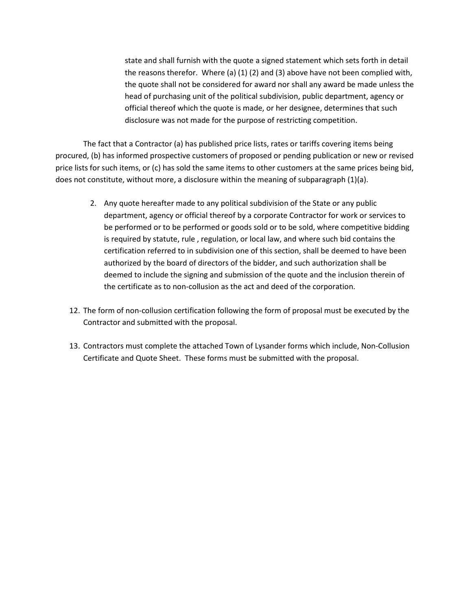state and shall furnish with the quote a signed statement which sets forth in detail the reasons therefor. Where (a)  $(1)$   $(2)$  and  $(3)$  above have not been complied with, the quote shall not be considered for award nor shall any award be made unless the head of purchasing unit of the political subdivision, public department, agency or official thereof which the quote is made, or her designee, determines that such disclosure was not made for the purpose of restricting competition.

The fact that a Contractor (a) has published price lists, rates or tariffs covering items being procured, (b) has informed prospective customers of proposed or pending publication or new or revised price lists for such items, or (c) has sold the same items to other customers at the same prices being bid, does not constitute, without more, a disclosure within the meaning of subparagraph (1)(a).

- 2. Any quote hereafter made to any political subdivision of the State or any public department, agency or official thereof by a corporate Contractor for work or services to be performed or to be performed or goods sold or to be sold, where competitive bidding is required by statute, rule , regulation, or local law, and where such bid contains the certification referred to in subdivision one of this section, shall be deemed to have been authorized by the board of directors of the bidder, and such authorization shall be deemed to include the signing and submission of the quote and the inclusion therein of the certificate as to non-collusion as the act and deed of the corporation.
- 12. The form of non-collusion certification following the form of proposal must be executed by the Contractor and submitted with the proposal.
- 13. Contractors must complete the attached Town of Lysander forms which include, Non-Collusion Certificate and Quote Sheet. These forms must be submitted with the proposal.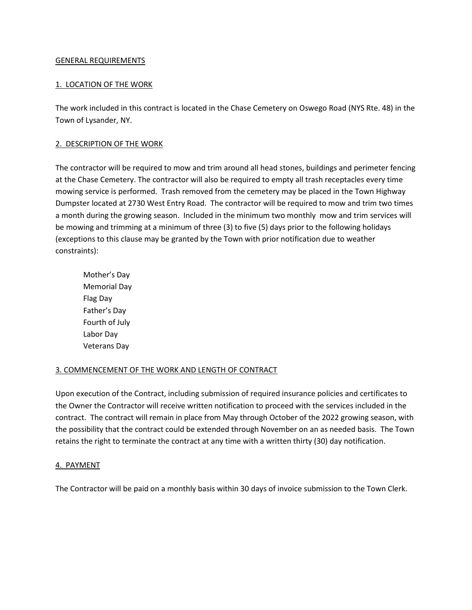## GENERAL REQUIREMENTS

# 1. LOCATION OF THE WORK

The work included in this contract is located in the Chase Cemetery on Oswego Road (NYS Rte. 48) in the Town of Lysander, NY.

# 2. DESCRIPTION OF THE WORK

The contractor will be required to mow and trim around all head stones, buildings and perimeter fencing at the Chase Cemetery. The contractor will also be required to empty all trash receptacles every time mowing service is performed. Trash removed from the cemetery may be placed in the Town Highway Dumpster located at 2730 West Entry Road. The contractor will be required to mow and trim two times a month during the growing season. Included in the minimum two monthly mow and trim services will be mowing and trimming at a minimum of three (3) to five (5) days prior to the following holidays (exceptions to this clause may be granted by the Town with prior notification due to weather constraints):

 Mother's Day Memorial Day Flag Day Father's Day Fourth of July Labor Day Veterans Day

## 3. COMMENCEMENT OF THE WORK AND LENGTH OF CONTRACT

Upon execution of the Contract, including submission of required insurance policies and certificates to the Owner the Contractor will receive written notification to proceed with the services included in the contract. The contract will remain in place from May through October of the 2022 growing season, with the possibility that the contract could be extended through November on an as needed basis. The Town retains the right to terminate the contract at any time with a written thirty (30) day notification.

## 4. PAYMENT

The Contractor will be paid on a monthly basis within 30 days of invoice submission to the Town Clerk.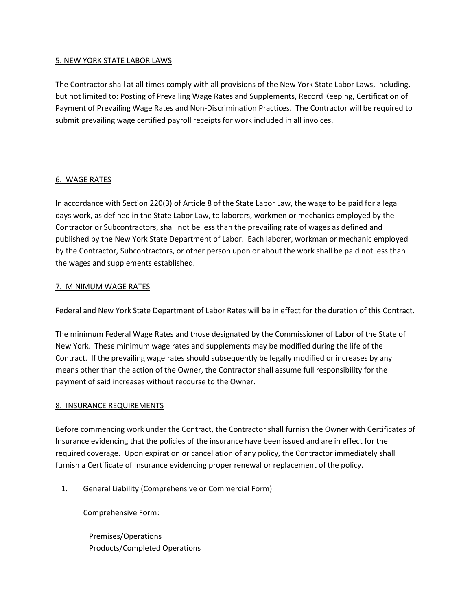## 5. NEW YORK STATE LABOR LAWS

The Contractor shall at all times comply with all provisions of the New York State Labor Laws, including, but not limited to: Posting of Prevailing Wage Rates and Supplements, Record Keeping, Certification of Payment of Prevailing Wage Rates and Non-Discrimination Practices. The Contractor will be required to submit prevailing wage certified payroll receipts for work included in all invoices.

## 6. WAGE RATES

In accordance with Section 220(3) of Article 8 of the State Labor Law, the wage to be paid for a legal days work, as defined in the State Labor Law, to laborers, workmen or mechanics employed by the Contractor or Subcontractors, shall not be less than the prevailing rate of wages as defined and published by the New York State Department of Labor. Each laborer, workman or mechanic employed by the Contractor, Subcontractors, or other person upon or about the work shall be paid not less than the wages and supplements established.

## 7. MINIMUM WAGE RATES

Federal and New York State Department of Labor Rates will be in effect for the duration of this Contract.

The minimum Federal Wage Rates and those designated by the Commissioner of Labor of the State of New York. These minimum wage rates and supplements may be modified during the life of the Contract. If the prevailing wage rates should subsequently be legally modified or increases by any means other than the action of the Owner, the Contractor shall assume full responsibility for the payment of said increases without recourse to the Owner.

## 8. INSURANCE REQUIREMENTS

Before commencing work under the Contract, the Contractor shall furnish the Owner with Certificates of Insurance evidencing that the policies of the insurance have been issued and are in effect for the required coverage. Upon expiration or cancellation of any policy, the Contractor immediately shall furnish a Certificate of Insurance evidencing proper renewal or replacement of the policy.

1. General Liability (Comprehensive or Commercial Form)

Comprehensive Form:

 Premises/Operations Products/Completed Operations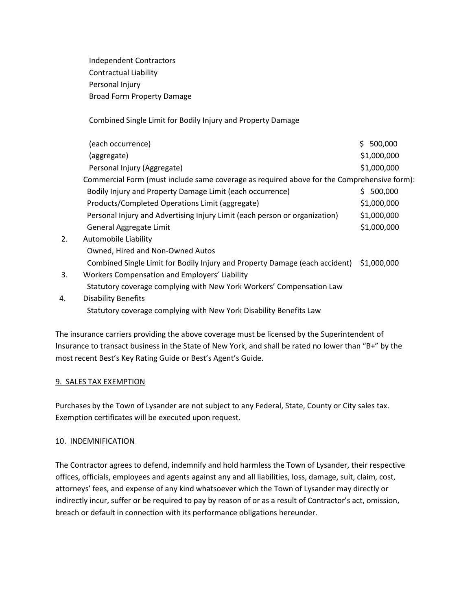Independent Contractors Contractual Liability Personal Injury Broad Form Property Damage

Combined Single Limit for Bodily Injury and Property Damage

|    | (each occurrence)                                                                          | \$500,000   |  |
|----|--------------------------------------------------------------------------------------------|-------------|--|
|    | (aggregate)                                                                                | \$1,000,000 |  |
|    | Personal Injury (Aggregate)                                                                | \$1,000,000 |  |
|    | Commercial Form (must include same coverage as required above for the Comprehensive form): |             |  |
|    | Bodily Injury and Property Damage Limit (each occurrence)                                  | 500,000     |  |
|    | Products/Completed Operations Limit (aggregate)                                            | \$1,000,000 |  |
|    | Personal Injury and Advertising Injury Limit (each person or organization)                 | \$1,000,000 |  |
|    | General Aggregate Limit                                                                    | \$1,000,000 |  |
| 2. | Automobile Liability                                                                       |             |  |
|    | Owned, Hired and Non-Owned Autos                                                           |             |  |
|    | Combined Single Limit for Bodily Injury and Property Damage (each accident)                | \$1,000,000 |  |
|    | $\mathbf{v}$                                                                               |             |  |

- 3. Workers Compensation and Employers' Liability Statutory coverage complying with New York Workers' Compensation Law
- 4. Disability Benefits Statutory coverage complying with New York Disability Benefits Law

The insurance carriers providing the above coverage must be licensed by the Superintendent of Insurance to transact business in the State of New York, and shall be rated no lower than "B+" by the most recent Best's Key Rating Guide or Best's Agent's Guide.

# 9. SALES TAX EXEMPTION

Purchases by the Town of Lysander are not subject to any Federal, State, County or City sales tax. Exemption certificates will be executed upon request.

## 10. INDEMNIFICATION

The Contractor agrees to defend, indemnify and hold harmless the Town of Lysander, their respective offices, officials, employees and agents against any and all liabilities, loss, damage, suit, claim, cost, attorneys' fees, and expense of any kind whatsoever which the Town of Lysander may directly or indirectly incur, suffer or be required to pay by reason of or as a result of Contractor's act, omission, breach or default in connection with its performance obligations hereunder.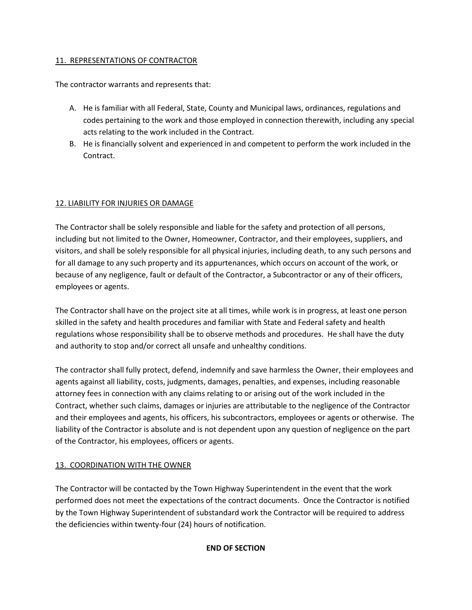# 11. REPRESENTATIONS OF CONTRACTOR

The contractor warrants and represents that:

- A. He is familiar with all Federal, State, County and Municipal laws, ordinances, regulations and codes pertaining to the work and those employed in connection therewith, including any special acts relating to the work included in the Contract.
- B. He is financially solvent and experienced in and competent to perform the work included in the Contract.

# 12. LIABILITY FOR INJURIES OR DAMAGE

The Contractor shall be solely responsible and liable for the safety and protection of all persons, including but not limited to the Owner, Homeowner, Contractor, and their employees, suppliers, and visitors, and shall be solely responsible for all physical injuries, including death, to any such persons and for all damage to any such property and its appurtenances, which occurs on account of the work, or because of any negligence, fault or default of the Contractor, a Subcontractor or any of their officers, employees or agents.

The Contractor shall have on the project site at all times, while work is in progress, at least one person skilled in the safety and health procedures and familiar with State and Federal safety and health regulations whose responsibility shall be to observe methods and procedures. He shall have the duty and authority to stop and/or correct all unsafe and unhealthy conditions.

The contractor shall fully protect, defend, indemnify and save harmless the Owner, their employees and agents against all liability, costs, judgments, damages, penalties, and expenses, including reasonable attorney fees in connection with any claims relating to or arising out of the work included in the Contract, whether such claims, damages or injuries are attributable to the negligence of the Contractor and their employees and agents, his officers, his subcontractors, employees or agents or otherwise. The liability of the Contractor is absolute and is not dependent upon any question of negligence on the part of the Contractor, his employees, officers or agents.

# 13. COORDINATION WITH THE OWNER

The Contractor will be contacted by the Town Highway Superintendent in the event that the work performed does not meet the expectations of the contract documents. Once the Contractor is notified by the Town Highway Superintendent of substandard work the Contractor will be required to address the deficiencies within twenty-four (24) hours of notification.

## END OF SECTION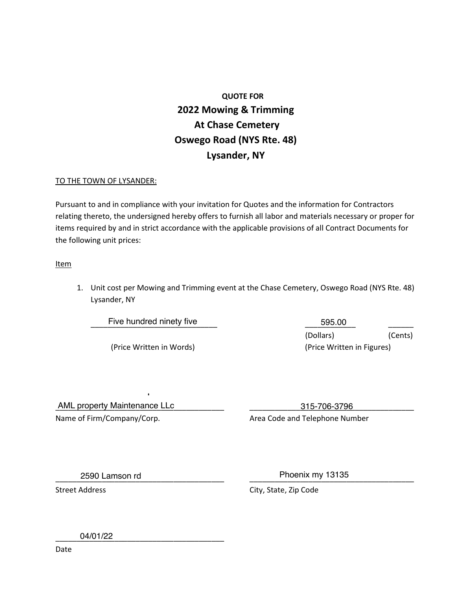# QUOTE FOR 2022 Mowing & Trimming At Chase Cemetery Oswego Road (NYS Rte. 48) Lysander, NY

## TO THE TOWN OF LYSANDER:

Pursuant to and in compliance with your invitation for Quotes and the information for Contractors relating thereto, the undersigned hereby offers to furnish all labor and materials necessary or proper for items required by and in strict accordance with the applicable provisions of all Contract Documents for the following unit prices:

**Item** 

1. Unit cost per Mowing and Trimming event at the Chase Cemetery, Oswego Road (NYS Rte. 48) Lysander, NY

\_\_\_\_\_\_\_\_\_\_\_\_\_\_\_\_\_\_\_\_\_\_\_\_\_\_\_\_\_\_ \_\_\_\_\_\_\_\_\_\_\_\_ \_\_\_\_\_\_ Five hundred ninety five 595.00 (Dollars) (Cents) (Price Written in Words) (Price Written in Figures)

\_\_\_\_\_\_\_\_\_\_\_\_\_\_\_\_\_\_\_\_\_\_\_\_\_\_\_\_\_\_\_\_\_\_\_\_\_\_\_\_ \_\_\_\_\_\_\_\_\_\_\_\_\_\_\_\_\_\_\_\_\_\_\_\_\_\_\_\_\_\_\_\_\_\_\_\_\_\_\_ AML property Maintenance LLc 315-706-3796 Name of Firm/Company/Corp. The Content of Area Code and Telephone Number

\_\_\_\_\_\_\_\_\_\_\_\_\_\_\_\_\_\_\_\_\_\_\_\_\_\_\_\_\_\_\_\_\_\_\_\_\_\_\_\_ \_\_\_\_\_\_\_\_\_\_\_\_\_\_\_\_\_\_\_\_\_\_\_\_\_\_\_\_\_\_\_\_\_\_\_\_\_\_\_ 2590 Lamson rd Phoenix my 13135

Street Address **City**, State, Zip Code

\_\_\_\_\_\_\_\_\_\_\_\_\_\_\_\_\_\_\_\_\_\_\_\_\_\_\_\_\_\_\_\_\_\_\_\_\_\_\_\_ 04/01/22

Date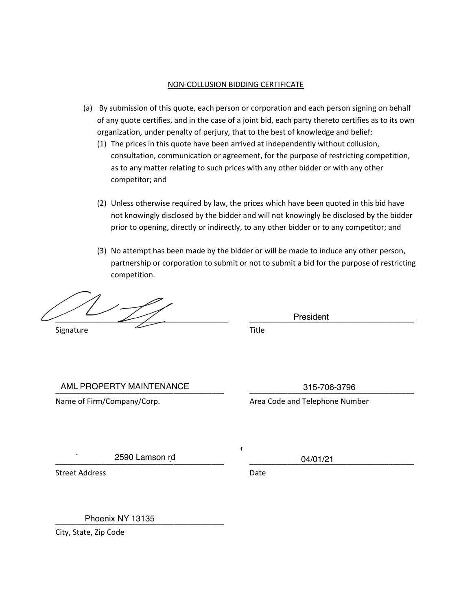#### NON-COLLUSION BIDDING CERTIFICATE

- (a) By submission of this quote, each person or corporation and each person signing on behalf of any quote certifies, and in the case of a joint bid, each party thereto certifies as to its own organization, under penalty of perjury, that to the best of knowledge and belief:
	- (1) The prices in this quote have been arrived at independently without collusion, consultation, communication or agreement, for the purpose of restricting competition, as to any matter relating to such prices with any other bidder or with any other competitor; and
	- (2) Unless otherwise required by law, the prices which have been quoted in this bid have not knowingly disclosed by the bidder and will not knowingly be disclosed by the bidder prior to opening, directly or indirectly, to any other bidder or to any competitor; and
	- (3) No attempt has been made by the bidder or will be made to induce any other person, partnership or corporation to submit or not to submit a bid for the purpose of restricting competition.

\_\_\_\_\_\_\_\_\_\_\_\_\_\_\_\_\_\_\_\_\_\_\_\_\_\_\_\_\_\_\_\_\_\_\_\_\_\_\_\_\_ \_\_\_\_\_\_\_\_\_\_\_\_\_\_\_\_\_\_\_\_\_\_\_\_\_\_\_\_\_\_\_\_\_\_\_\_\_\_\_ Signature Title

President

\_\_\_\_\_\_\_\_\_\_\_\_\_\_\_\_\_\_\_\_\_\_\_\_\_\_\_\_\_\_\_\_\_\_\_\_\_\_\_\_ \_\_\_\_\_\_\_\_\_\_\_\_\_\_\_\_\_\_\_\_\_\_\_\_\_\_\_\_\_\_\_\_\_\_\_\_\_\_\_ AML PROPERTY MAINTENANCE 315-706-3796

Name of Firm/Company/Corp. The Content of Area Code and Telephone Number

\_\_\_\_\_\_\_\_\_\_\_\_\_\_\_\_\_\_\_\_\_\_\_\_\_\_\_\_\_\_\_\_\_\_\_\_\_\_\_\_ \_\_\_\_\_\_\_\_\_\_\_\_\_\_\_\_\_\_\_\_\_\_\_\_\_\_\_\_\_\_\_\_\_\_\_\_\_\_\_ 2590 Lamson rd 04/01/21

Street Address Date

 $\epsilon$ 

\_\_\_\_\_\_\_\_\_\_\_\_\_\_\_\_\_\_\_\_\_\_\_\_\_\_\_\_\_\_\_\_\_\_\_\_\_\_\_\_ Phoenix NY 13135

City, State, Zip Code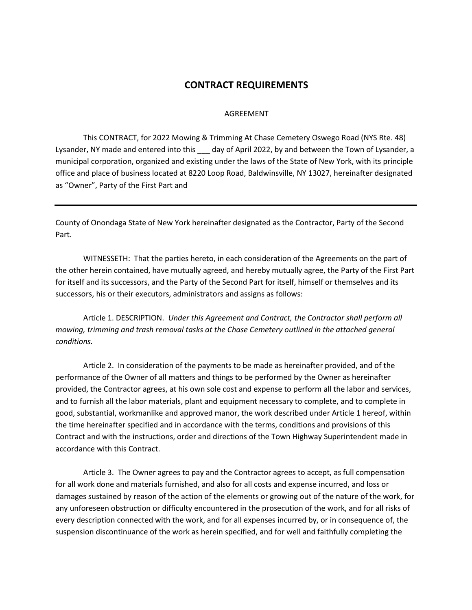# CONTRACT REQUIREMENTS

#### AGREEMENT

 This CONTRACT, for 2022 Mowing & Trimming At Chase Cemetery Oswego Road (NYS Rte. 48) Lysander, NY made and entered into this day of April 2022, by and between the Town of Lysander, a municipal corporation, organized and existing under the laws of the State of New York, with its principle office and place of business located at 8220 Loop Road, Baldwinsville, NY 13027, hereinafter designated as "Owner", Party of the First Part and

County of Onondaga State of New York hereinafter designated as the Contractor, Party of the Second Part.

WITNESSETH: That the parties hereto, in each consideration of the Agreements on the part of the other herein contained, have mutually agreed, and hereby mutually agree, the Party of the First Part for itself and its successors, and the Party of the Second Part for itself, himself or themselves and its successors, his or their executors, administrators and assigns as follows:

Article 1. DESCRIPTION. Under this Agreement and Contract, the Contractor shall perform all mowing, trimming and trash removal tasks at the Chase Cemetery outlined in the attached general conditions.

Article 2. In consideration of the payments to be made as hereinafter provided, and of the performance of the Owner of all matters and things to be performed by the Owner as hereinafter provided, the Contractor agrees, at his own sole cost and expense to perform all the labor and services, and to furnish all the labor materials, plant and equipment necessary to complete, and to complete in good, substantial, workmanlike and approved manor, the work described under Article 1 hereof, within the time hereinafter specified and in accordance with the terms, conditions and provisions of this Contract and with the instructions, order and directions of the Town Highway Superintendent made in accordance with this Contract.

Article 3. The Owner agrees to pay and the Contractor agrees to accept, as full compensation for all work done and materials furnished, and also for all costs and expense incurred, and loss or damages sustained by reason of the action of the elements or growing out of the nature of the work, for any unforeseen obstruction or difficulty encountered in the prosecution of the work, and for all risks of every description connected with the work, and for all expenses incurred by, or in consequence of, the suspension discontinuance of the work as herein specified, and for well and faithfully completing the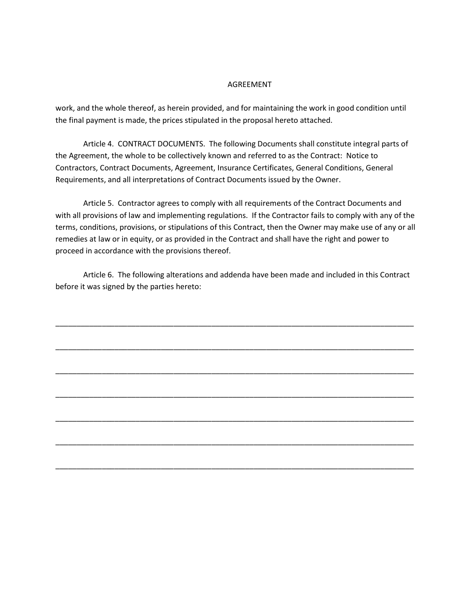#### AGREEMENT

work, and the whole thereof, as herein provided, and for maintaining the work in good condition until the final payment is made, the prices stipulated in the proposal hereto attached.

Article 4. CONTRACT DOCUMENTS. The following Documents shall constitute integral parts of the Agreement, the whole to be collectively known and referred to as the Contract: Notice to Contractors, Contract Documents, Agreement, Insurance Certificates, General Conditions, General Requirements, and all interpretations of Contract Documents issued by the Owner.

Article 5. Contractor agrees to comply with all requirements of the Contract Documents and with all provisions of law and implementing regulations. If the Contractor fails to comply with any of the terms, conditions, provisions, or stipulations of this Contract, then the Owner may make use of any or all remedies at law or in equity, or as provided in the Contract and shall have the right and power to proceed in accordance with the provisions thereof.

Article 6. The following alterations and addenda have been made and included in this Contract before it was signed by the parties hereto:

\_\_\_\_\_\_\_\_\_\_\_\_\_\_\_\_\_\_\_\_\_\_\_\_\_\_\_\_\_\_\_\_\_\_\_\_\_\_\_\_\_\_\_\_\_\_\_\_\_\_\_\_\_\_\_\_\_\_\_\_\_\_\_\_\_\_\_\_\_\_\_\_\_\_\_\_\_\_\_\_\_\_\_\_\_

\_\_\_\_\_\_\_\_\_\_\_\_\_\_\_\_\_\_\_\_\_\_\_\_\_\_\_\_\_\_\_\_\_\_\_\_\_\_\_\_\_\_\_\_\_\_\_\_\_\_\_\_\_\_\_\_\_\_\_\_\_\_\_\_\_\_\_\_\_\_\_\_\_\_\_\_\_\_\_\_\_\_\_\_\_

\_\_\_\_\_\_\_\_\_\_\_\_\_\_\_\_\_\_\_\_\_\_\_\_\_\_\_\_\_\_\_\_\_\_\_\_\_\_\_\_\_\_\_\_\_\_\_\_\_\_\_\_\_\_\_\_\_\_\_\_\_\_\_\_\_\_\_\_\_\_\_\_\_\_\_\_\_\_\_\_\_\_\_\_\_

\_\_\_\_\_\_\_\_\_\_\_\_\_\_\_\_\_\_\_\_\_\_\_\_\_\_\_\_\_\_\_\_\_\_\_\_\_\_\_\_\_\_\_\_\_\_\_\_\_\_\_\_\_\_\_\_\_\_\_\_\_\_\_\_\_\_\_\_\_\_\_\_\_\_\_\_\_\_\_\_\_\_\_\_\_

\_\_\_\_\_\_\_\_\_\_\_\_\_\_\_\_\_\_\_\_\_\_\_\_\_\_\_\_\_\_\_\_\_\_\_\_\_\_\_\_\_\_\_\_\_\_\_\_\_\_\_\_\_\_\_\_\_\_\_\_\_\_\_\_\_\_\_\_\_\_\_\_\_\_\_\_\_\_\_\_\_\_\_\_\_

\_\_\_\_\_\_\_\_\_\_\_\_\_\_\_\_\_\_\_\_\_\_\_\_\_\_\_\_\_\_\_\_\_\_\_\_\_\_\_\_\_\_\_\_\_\_\_\_\_\_\_\_\_\_\_\_\_\_\_\_\_\_\_\_\_\_\_\_\_\_\_\_\_\_\_\_\_\_\_\_\_\_\_\_\_

\_\_\_\_\_\_\_\_\_\_\_\_\_\_\_\_\_\_\_\_\_\_\_\_\_\_\_\_\_\_\_\_\_\_\_\_\_\_\_\_\_\_\_\_\_\_\_\_\_\_\_\_\_\_\_\_\_\_\_\_\_\_\_\_\_\_\_\_\_\_\_\_\_\_\_\_\_\_\_\_\_\_\_\_\_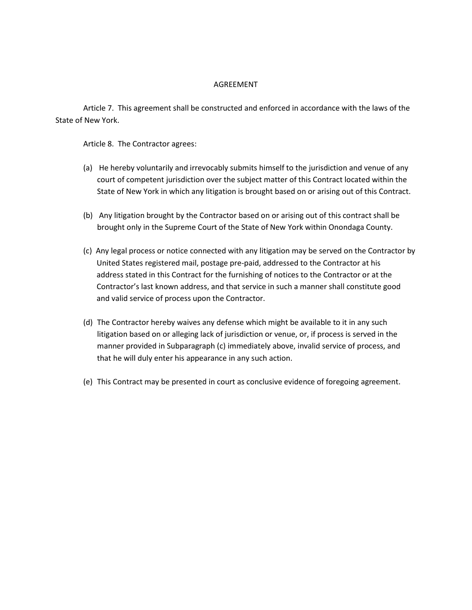## AGREEMENT

 Article 7. This agreement shall be constructed and enforced in accordance with the laws of the State of New York.

Article 8. The Contractor agrees:

- (a) He hereby voluntarily and irrevocably submits himself to the jurisdiction and venue of any court of competent jurisdiction over the subject matter of this Contract located within the State of New York in which any litigation is brought based on or arising out of this Contract.
- (b) Any litigation brought by the Contractor based on or arising out of this contract shall be brought only in the Supreme Court of the State of New York within Onondaga County.
- (c) Any legal process or notice connected with any litigation may be served on the Contractor by United States registered mail, postage pre-paid, addressed to the Contractor at his address stated in this Contract for the furnishing of notices to the Contractor or at the Contractor's last known address, and that service in such a manner shall constitute good and valid service of process upon the Contractor.
- (d) The Contractor hereby waives any defense which might be available to it in any such litigation based on or alleging lack of jurisdiction or venue, or, if process is served in the manner provided in Subparagraph (c) immediately above, invalid service of process, and that he will duly enter his appearance in any such action.
- (e) This Contract may be presented in court as conclusive evidence of foregoing agreement.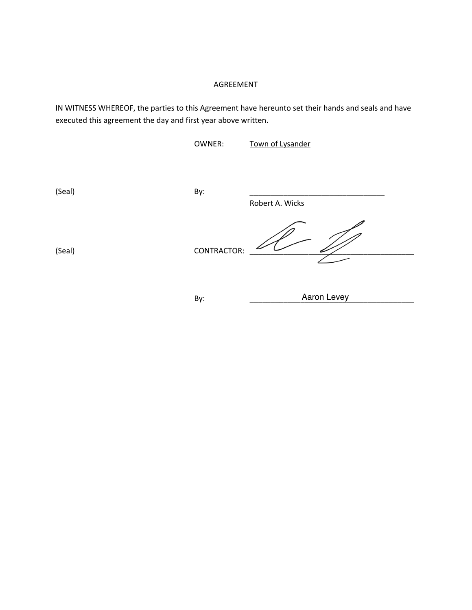## AGREEMENT

IN WITNESS WHEREOF, the parties to this Agreement have hereunto set their hands and seals and have executed this agreement the day and first year above written.

OWNER: Town of Lysander

(Seal) By: \_\_\_\_\_\_\_\_\_\_\_\_\_\_\_\_\_\_\_\_\_\_\_\_\_\_\_\_\_\_\_\_ Robert A. Wicks

(Seal) CONTRACTOR:

By: \_\_\_\_\_\_\_\_\_\_\_\_\_\_\_\_\_\_\_\_\_\_\_\_\_\_\_\_\_\_\_\_\_\_\_\_\_\_\_ Aaron Levey